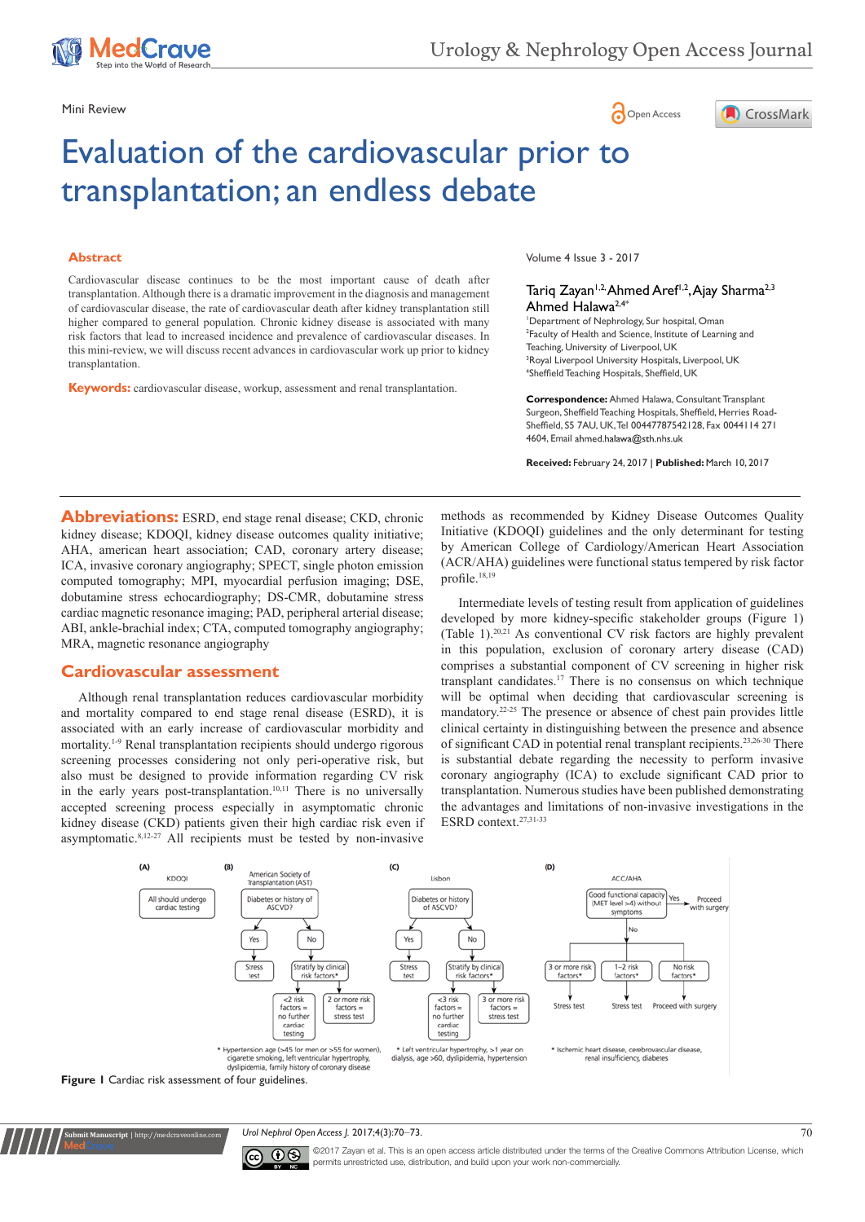

# Mini Review **Open Access**



# Evaluation of the cardiovascular prior to transplantation; an endless debate

#### **Abstract**

Cardiovascular disease continues to be the most important cause of death after transplantation. Although there is a dramatic improvement in the diagnosis and management of cardiovascular disease, the rate of cardiovascular death after kidney transplantation still higher compared to general population. Chronic kidney disease is associated with many risk factors that lead to increased incidence and prevalence of cardiovascular diseases. In this mini-review, we will discuss recent advances in cardiovascular work up prior to kidney transplantation.

**Keywords:** cardiovascular disease, workup, assessment and renal transplantation.

Volume 4 Issue 3 - 2017

#### Tariq Zayan<sup>1,2,</sup> Ahmed Aref<sup>1,2</sup>, Ajay Sharma<sup>2,3</sup> Ahmed Halawa2,4\*

 Department of Nephrology, Sur hospital, Oman Faculty of Health and Science, Institute of Learning and Teaching, University of Liverpool, UK Royal Liverpool University Hospitals, Liverpool, UK Sheffield Teaching Hospitals, Sheffield, UK

**Correspondence:** Ahmed Halawa, Consultant Transplant Surgeon, Sheffield Teaching Hospitals, Sheffield, Herries Road-Sheffield, S5 7AU, UK, Tel 00447787542128, Fax 0044114 271 4604, Email ahmed.halawa@sth.nhs.uk

**Received:** February 24, 2017 | **Published:** March 10, 2017

**Abbreviations:** ESRD, end stage renal disease; CKD, chronic kidney disease; KDOQI, kidney disease outcomes quality initiative; AHA, american heart association; CAD, coronary artery disease; ICA, invasive coronary angiography; SPECT, single photon emission computed tomography; MPI, myocardial perfusion imaging; DSE, dobutamine stress echocardiography; DS-CMR, dobutamine stress cardiac magnetic resonance imaging; PAD, peripheral arterial disease; ABI, ankle-brachial index; CTA, computed tomography angiography; MRA, magnetic resonance angiography

#### **Cardiovascular assessment**

**it Manuscript** | http://medcraveonlin

Although renal transplantation reduces cardiovascular morbidity and mortality compared to end stage renal disease (ESRD), it is associated with an early increase of cardiovascular morbidity and mortality.1-9 Renal transplantation recipients should undergo rigorous screening processes considering not only peri-operative risk, but also must be designed to provide information regarding CV risk in the early years post-transplantation.<sup>10,11</sup> There is no universally accepted screening process especially in asymptomatic chronic kidney disease (CKD) patients given their high cardiac risk even if asymptomatic.8,12-27 All recipients must be tested by non-invasive

methods as recommended by Kidney Disease Outcomes Quality Initiative (KDOQI) guidelines and the only determinant for testing by American College of Cardiology/American Heart Association (ACR/AHA) guidelines were functional status tempered by risk factor profile.18,19

Intermediate levels of testing result from application of guidelines developed by more kidney-specific stakeholder groups (Figure 1) (Table 1).20,21 As conventional CV risk factors are highly prevalent in this population, exclusion of coronary artery disease (CAD) comprises a substantial component of CV screening in higher risk transplant candidates.17 There is no consensus on which technique will be optimal when deciding that cardiovascular screening is mandatory.22-25 The presence or absence of chest pain provides little clinical certainty in distinguishing between the presence and absence of significant CAD in potential renal transplant recipients.23,26-30 There is substantial debate regarding the necessity to perform invasive coronary angiography (ICA) to exclude significant CAD prior to transplantation. Numerous studies have been published demonstrating the advantages and limitations of non-invasive investigations in the ESRD context.27,31-33



*Urol Nephrol Open Access J.* 2017;4(3):70‒73. 70



©2017 Zayan et al. This is an open access article distributed under the terms of the [Creative Commons Attribution License,](https://creativecommons.org/licenses/by-nc/4.0/) which permits unrestricted use, distribution, and build upon your work non-commercially.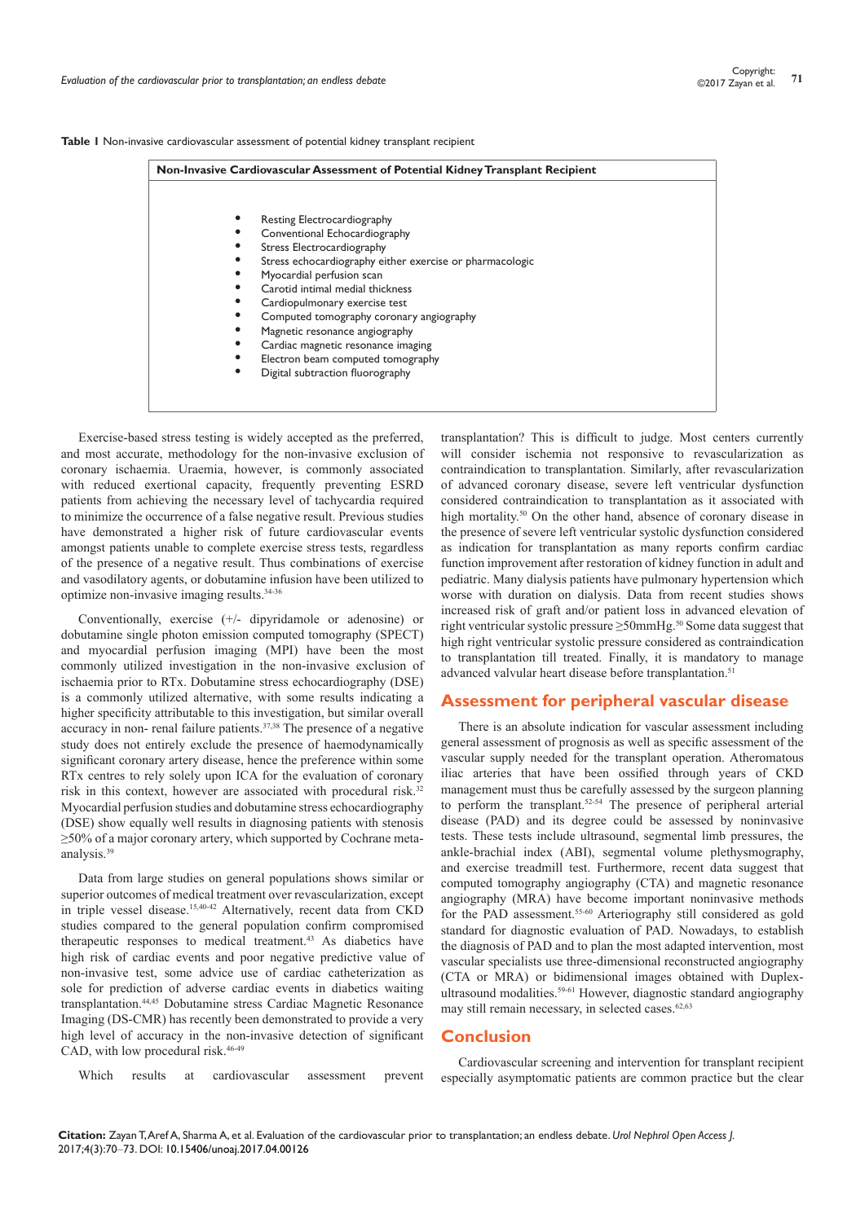|  | Table I Non-invasive cardiovascular assessment of potential kidney transplant recipient |  |  |  |  |  |  |
|--|-----------------------------------------------------------------------------------------|--|--|--|--|--|--|
|--|-----------------------------------------------------------------------------------------|--|--|--|--|--|--|

| Non-Invasive Cardiovascular Assessment of Potential Kidney Transplant Recipient |   |                                                          |  |  |  |
|---------------------------------------------------------------------------------|---|----------------------------------------------------------|--|--|--|
|                                                                                 |   | Resting Electrocardiography                              |  |  |  |
|                                                                                 |   | Conventional Echocardiography                            |  |  |  |
|                                                                                 |   | Stress Electrocardiography                               |  |  |  |
|                                                                                 |   | Stress echocardiography either exercise or pharmacologic |  |  |  |
|                                                                                 |   | Myocardial perfusion scan                                |  |  |  |
|                                                                                 |   | Carotid intimal medial thickness                         |  |  |  |
|                                                                                 |   | Cardiopulmonary exercise test                            |  |  |  |
|                                                                                 |   | Computed tomography coronary angiography                 |  |  |  |
|                                                                                 | ٠ | Magnetic resonance angiography                           |  |  |  |
|                                                                                 | ٠ | Cardiac magnetic resonance imaging                       |  |  |  |
|                                                                                 |   | Electron beam computed tomography                        |  |  |  |
|                                                                                 | ٠ | Digital subtraction fluorography                         |  |  |  |

Exercise-based stress testing is widely accepted as the preferred, and most accurate, methodology for the non-invasive exclusion of coronary ischaemia. Uraemia, however, is commonly associated with reduced exertional capacity, frequently preventing ESRD patients from achieving the necessary level of tachycardia required to minimize the occurrence of a false negative result. Previous studies have demonstrated a higher risk of future cardiovascular events amongst patients unable to complete exercise stress tests, regardless of the presence of a negative result. Thus combinations of exercise and vasodilatory agents, or dobutamine infusion have been utilized to optimize non-invasive imaging results.34-36

Conventionally, exercise (+/- dipyridamole or adenosine) or dobutamine single photon emission computed tomography (SPECT) and myocardial perfusion imaging (MPI) have been the most commonly utilized investigation in the non-invasive exclusion of ischaemia prior to RTx. Dobutamine stress echocardiography (DSE) is a commonly utilized alternative, with some results indicating a higher specificity attributable to this investigation, but similar overall accuracy in non- renal failure patients.37,38 The presence of a negative study does not entirely exclude the presence of haemodynamically significant coronary artery disease, hence the preference within some RTx centres to rely solely upon ICA for the evaluation of coronary risk in this context, however are associated with procedural risk.<sup>32</sup> Myocardial perfusion studies and dobutamine stress echocardiography (DSE) show equally well results in diagnosing patients with stenosis ≥50% of a major coronary artery, which supported by Cochrane metaanalysis.39

Data from large studies on general populations shows similar or superior outcomes of medical treatment over revascularization, except in triple vessel disease.<sup>15,40-42</sup> Alternatively, recent data from CKD studies compared to the general population confirm compromised therapeutic responses to medical treatment.<sup>43</sup> As diabetics have high risk of cardiac events and poor negative predictive value of non-invasive test, some advice use of cardiac catheterization as sole for prediction of adverse cardiac events in diabetics waiting transplantation.44,45 Dobutamine stress Cardiac Magnetic Resonance Imaging (DS-CMR) has recently been demonstrated to provide a very high level of accuracy in the non-invasive detection of significant CAD, with low procedural risk.<sup>46-49</sup>

transplantation? This is difficult to judge. Most centers currently will consider ischemia not responsive to revascularization as contraindication to transplantation. Similarly, after revascularization of advanced coronary disease, severe left ventricular dysfunction considered contraindication to transplantation as it associated with high mortality.<sup>50</sup> On the other hand, absence of coronary disease in the presence of severe left ventricular systolic dysfunction considered as indication for transplantation as many reports confirm cardiac function improvement after restoration of kidney function in adult and pediatric. Many dialysis patients have pulmonary hypertension which worse with duration on dialysis. Data from recent studies shows increased risk of graft and/or patient loss in advanced elevation of right ventricular systolic pressure ≥50mmHg.50 Some data suggest that high right ventricular systolic pressure considered as contraindication to transplantation till treated. Finally, it is mandatory to manage advanced valvular heart disease before transplantation.<sup>51</sup>

## **Assessment for peripheral vascular disease**

There is an absolute indication for vascular assessment including general assessment of prognosis as well as specific assessment of the vascular supply needed for the transplant operation. Atheromatous iliac arteries that have been ossified through years of CKD management must thus be carefully assessed by the surgeon planning to perform the transplant.<sup>52-54</sup> The presence of peripheral arterial disease (PAD) and its degree could be assessed by noninvasive tests. These tests include ultrasound, segmental limb pressures, the ankle-brachial index (ABI), segmental volume plethysmography, and exercise treadmill test. Furthermore, recent data suggest that computed tomography angiography (CTA) and magnetic resonance angiography (MRA) have become important noninvasive methods for the PAD assessment.<sup>55-60</sup> Arteriography still considered as gold standard for diagnostic evaluation of PAD. Nowadays, to establish the diagnosis of PAD and to plan the most adapted intervention, most vascular specialists use three-dimensional reconstructed angiography (CTA or MRA) or bidimensional images obtained with Duplexultrasound modalities.<sup>59-61</sup> However, diagnostic standard angiography may still remain necessary, in selected cases.<sup>62,63</sup>

#### **Conclusion**

Which results at cardiovascular assessment prevent

Cardiovascular screening and intervention for transplant recipient especially asymptomatic patients are common practice but the clear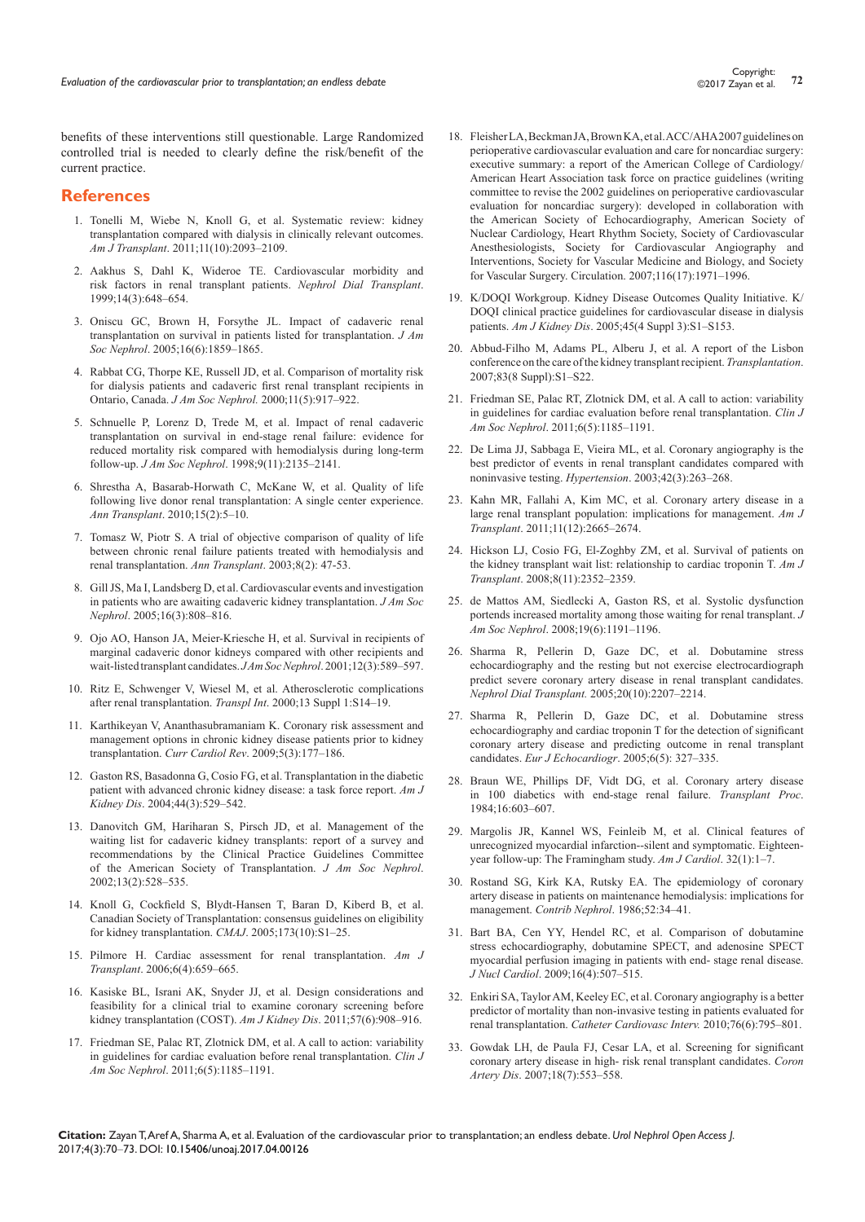benefits of these interventions still questionable. Large Randomized controlled trial is needed to clearly define the risk/benefit of the current practice.

### **References**

- 1. [Tonelli M, Wiebe N, Knoll G, et al. Systematic review: kidney](https://www.ncbi.nlm.nih.gov/pubmed/21883901)  [transplantation compared with dialysis in clinically relevant outcomes.](https://www.ncbi.nlm.nih.gov/pubmed/21883901)  *Am J Transplant*[. 2011;11\(10\):2093‒2109.](https://www.ncbi.nlm.nih.gov/pubmed/21883901)
- 2. [Aakhus S, Dahl K, Wideroe TE. Cardiovascular morbidity and](https://academic.oup.com/ndt/article/14/3/648/1849995/Cardiovascular-morbidity-and-risk-factors-in-renal)  [risk factors in renal transplant patients.](https://academic.oup.com/ndt/article/14/3/648/1849995/Cardiovascular-morbidity-and-risk-factors-in-renal) *Nephrol Dial Transplant*. [1999;14\(3\):648‒654.](https://academic.oup.com/ndt/article/14/3/648/1849995/Cardiovascular-morbidity-and-risk-factors-in-renal)
- 3. [Oniscu GC, Brown H, Forsythe JL. Impact of cadaveric renal](https://www.ncbi.nlm.nih.gov/labs/articles/15857921/)  [transplantation on survival in patients listed for transplantation.](https://www.ncbi.nlm.nih.gov/labs/articles/15857921/) *J Am Soc Nephrol*[. 2005;16\(6\):1859‒1865.](https://www.ncbi.nlm.nih.gov/labs/articles/15857921/)
- 4. [Rabbat CG, Thorpe KE, Russell JD, et al. Comparison of mortality risk](https://www.ncbi.nlm.nih.gov/pubmed/10770970)  [for dialysis patients and cadaveric first renal transplant recipients in](https://www.ncbi.nlm.nih.gov/pubmed/10770970)  Ontario, Canada. *J Am Soc Nephrol.* [2000;11\(5\):917‒922.](https://www.ncbi.nlm.nih.gov/pubmed/10770970)
- 5. [Schnuelle P, Lorenz D, Trede M, et al. Impact of renal cadaveric](https://www.ncbi.nlm.nih.gov/pubmed/9808102)  [transplantation on survival in end-stage renal failure: evidence for](https://www.ncbi.nlm.nih.gov/pubmed/9808102)  [reduced mortality risk compared with hemodialysis during long-term](https://www.ncbi.nlm.nih.gov/pubmed/9808102)  follow-up. *J Am Soc Nephrol*[. 1998;9\(11\):2135‒2141.](https://www.ncbi.nlm.nih.gov/pubmed/9808102)
- 6. [Shrestha A, Basarab-Horwath C, McKane W, et al. Quality of life](https://www.ncbi.nlm.nih.gov/pubmed/20657513)  [following live donor renal transplantation: A single center experience.](https://www.ncbi.nlm.nih.gov/pubmed/20657513)  *Ann Transplant*[. 2010;15\(2\):5‒10.](https://www.ncbi.nlm.nih.gov/pubmed/20657513)
- 7. [Tomasz W, Piotr S. A trial of objective comparison of quality of life](https://www.ncbi.nlm.nih.gov/pubmed/14626576)  [between chronic renal failure patients treated with hemodialysis and](https://www.ncbi.nlm.nih.gov/pubmed/14626576)  [renal transplantation.](https://www.ncbi.nlm.nih.gov/pubmed/14626576) *Ann Transplant*. 2003;8(2): 47-53.
- 8. [Gill JS, Ma I, Landsberg D, et al. Cardiovascular events and investigation](https://www.ncbi.nlm.nih.gov/pubmed/15689406)  [in patients who are awaiting cadaveric kidney transplantation.](https://www.ncbi.nlm.nih.gov/pubmed/15689406) *J Am Soc Nephrol*[. 2005;16\(3\):808‒816.](https://www.ncbi.nlm.nih.gov/pubmed/15689406)
- 9. [Ojo AO, Hanson JA, Meier-Kriesche H, et al. Survival in recipients of](https://www.ncbi.nlm.nih.gov/pubmed/11181808)  [marginal cadaveric donor kidneys compared with other recipients and](https://www.ncbi.nlm.nih.gov/pubmed/11181808)  [wait-listed transplant candidates.](https://www.ncbi.nlm.nih.gov/pubmed/11181808) *JAm Soc Nephrol*. 2001;12(3):589-597.
- 10. [Ritz E, Schwenger V, Wiesel M, et al. Atherosclerotic complications](https://www.ncbi.nlm.nih.gov/pubmed/11111954)  [after renal transplantation.](https://www.ncbi.nlm.nih.gov/pubmed/11111954) *Transpl Int*. 2000;13 Suppl 1:S14‒19.
- 11. [Karthikeyan V, Ananthasubramaniam K. Coronary risk assessment and](https://www.ncbi.nlm.nih.gov/pubmed/20676276)  [management options in chronic kidney disease patients prior to kidney](https://www.ncbi.nlm.nih.gov/pubmed/20676276)  transplantation. *Curr Cardiol Rev.* 2009;5(3):177-186.
- 12. [Gaston RS, Basadonna G, Cosio FG, et al. Transplantation in the diabetic](https://www.ncbi.nlm.nih.gov/pubmed/15332226)  [patient with advanced chronic kidney disease: a task force report.](https://www.ncbi.nlm.nih.gov/pubmed/15332226) *Am J Kidney Dis*[. 2004;44\(3\):529‒542.](https://www.ncbi.nlm.nih.gov/pubmed/15332226)
- 13. [Danovitch GM, Hariharan S, Pirsch JD, et al. Management of the](https://www.ncbi.nlm.nih.gov/pubmed/11805184)  [waiting list for cadaveric kidney transplants: report of a survey and](https://www.ncbi.nlm.nih.gov/pubmed/11805184)  [recommendations by the Clinical Practice Guidelines Committee](https://www.ncbi.nlm.nih.gov/pubmed/11805184)  [of the American Society of Transplantation.](https://www.ncbi.nlm.nih.gov/pubmed/11805184) *J Am Soc Nephrol*. [2002;13\(2\):528‒535.](https://www.ncbi.nlm.nih.gov/pubmed/11805184)
- 14. [Knoll G, Cockfield S, Blydt-Hansen T, Baran D, Kiberd B, et al.](https://www.ncbi.nlm.nih.gov/pubmed/16275969/)  [Canadian Society of Transplantation: consensus guidelines on eligibility](https://www.ncbi.nlm.nih.gov/pubmed/16275969/)  [for kidney transplantation.](https://www.ncbi.nlm.nih.gov/pubmed/16275969/) *CMAJ*. 2005;173(10):S1-25.
- 15. [Pilmore H. Cardiac assessment for renal transplantation.](https://www.ncbi.nlm.nih.gov/pubmed/16539621) *Am J Transplant*[. 2006;6\(4\):659‒665.](https://www.ncbi.nlm.nih.gov/pubmed/16539621)
- 16. [Kasiske BL, Israni AK, Snyder JJ, et al. Design considerations and](https://www.ncbi.nlm.nih.gov/pubmed/21411203)  [feasibility for a clinical trial to examine coronary screening before](https://www.ncbi.nlm.nih.gov/pubmed/21411203)  [kidney transplantation \(COST\).](https://www.ncbi.nlm.nih.gov/pubmed/21411203) Am J Kidney Dis. 2011;57(6):908-916.
- 17. [Friedman SE, Palac RT, Zlotnick DM, et al. A call to action: variability](https://www.ncbi.nlm.nih.gov/pubmed/21511835)  [in guidelines for cardiac evaluation before renal transplantation.](https://www.ncbi.nlm.nih.gov/pubmed/21511835) *Clin J Am Soc Nephrol.* 2011;6(5):1185-1191.
- 18. [Fleisher LA, Beckman JA, Brown KA, et al. ACC/AHA 2007 guidelines on](https://www.ncbi.nlm.nih.gov/pubmed/17901357)  [perioperative cardiovascular evaluation and care for noncardiac surgery:](https://www.ncbi.nlm.nih.gov/pubmed/17901357)  [executive summary: a report of the American College of Cardiology/](https://www.ncbi.nlm.nih.gov/pubmed/17901357) [American Heart Association task force on practice guidelines \(writing](https://www.ncbi.nlm.nih.gov/pubmed/17901357)  [committee to revise the 2002 guidelines on perioperative cardiovascular](https://www.ncbi.nlm.nih.gov/pubmed/17901357)  [evaluation for noncardiac surgery\): developed in collaboration with](https://www.ncbi.nlm.nih.gov/pubmed/17901357)  [the American Society of Echocardiography, American Society of](https://www.ncbi.nlm.nih.gov/pubmed/17901357)  [Nuclear Cardiology, Heart Rhythm Society, Society of Cardiovascular](https://www.ncbi.nlm.nih.gov/pubmed/17901357)  [Anesthesiologists, Society for Cardiovascular Angiography and](https://www.ncbi.nlm.nih.gov/pubmed/17901357)  [Interventions, Society for Vascular Medicine and Biology, and Society](https://www.ncbi.nlm.nih.gov/pubmed/17901357)  for Vascular Surgery. Circulation. 2007;116(17):1971-1996.
- 19. [K/DOQI Workgroup. Kidney Disease Outcomes Quality Initiative. K/](https://www.ncbi.nlm.nih.gov/pubmed/15806502) [DOQI clinical practice guidelines for cardiovascular disease in dialysis](https://www.ncbi.nlm.nih.gov/pubmed/15806502)  patients. *Am J Kidney Dis*[. 2005;45\(4 Suppl 3\):S1‒S153.](https://www.ncbi.nlm.nih.gov/pubmed/15806502)
- 20. [Abbud-Filho M, Adams PL, Alberu J, et al. A report of the Lisbon](https://www.ncbi.nlm.nih.gov/pubmed/17452912)  [conference on the care of the kidney transplant recipient.](https://www.ncbi.nlm.nih.gov/pubmed/17452912) *Transplantation*. [2007;83\(8 Suppl\):S1‒S22.](https://www.ncbi.nlm.nih.gov/pubmed/17452912)
- 21. [Friedman SE, Palac RT, Zlotnick DM, et al. A call to action: variability](https://www.ncbi.nlm.nih.gov/pubmed/21511835)  [in guidelines for cardiac evaluation before renal transplantation.](https://www.ncbi.nlm.nih.gov/pubmed/21511835) *Clin J Am Soc Nephrol*[. 2011;6\(5\):1185‒1191.](https://www.ncbi.nlm.nih.gov/pubmed/21511835)
- 22. [De Lima JJ, Sabbaga E, Vieira ML, et al. Coronary angiography is the](https://www.ncbi.nlm.nih.gov/pubmed/12913060)  [best predictor of events in renal transplant candidates compared with](https://www.ncbi.nlm.nih.gov/pubmed/12913060)  noninvasive testing. *Hypertension*. 2003;42(3):263-268.
- 23. [Kahn MR, Fallahi A, Kim MC, et al. Coronary artery disease in a](https://www.ncbi.nlm.nih.gov/pubmed/21920018)  [large renal transplant population: implications for management.](https://www.ncbi.nlm.nih.gov/pubmed/21920018) *Am J Transplant*[. 2011;11\(12\):2665‒2674.](https://www.ncbi.nlm.nih.gov/pubmed/21920018)
- 24. [Hickson LJ, Cosio FG, El-Zoghby ZM, et al. Survival of patients on](https://www.ncbi.nlm.nih.gov/pubmed/18785956)  [the kidney transplant wait list: relationship to cardiac troponin T.](https://www.ncbi.nlm.nih.gov/pubmed/18785956) *Am J Transplant*[. 2008;8\(11\):2352‒2359.](https://www.ncbi.nlm.nih.gov/pubmed/18785956)
- 25. [de Mattos AM, Siedlecki A, Gaston RS, et al. Systolic dysfunction](https://www.ncbi.nlm.nih.gov/pubmed/18369087/)  [portends increased mortality among those waiting for renal transplant.](https://www.ncbi.nlm.nih.gov/pubmed/18369087/) *J Am Soc Nephrol*[. 2008;19\(6\):1191‒1196.](https://www.ncbi.nlm.nih.gov/pubmed/18369087/)
- 26. [Sharma R, Pellerin D, Gaze DC, et al. Dobutamine stress](https://www.ncbi.nlm.nih.gov/pubmed/16030034)  [echocardiography and the resting but not exercise electrocardiograph](https://www.ncbi.nlm.nih.gov/pubmed/16030034)  [predict severe coronary artery disease in renal transplant candidates.](https://www.ncbi.nlm.nih.gov/pubmed/16030034)  *[Nephrol Dial Transplant.](https://www.ncbi.nlm.nih.gov/pubmed/16030034)* 2005;20(10):2207‒2214.
- 27. [Sharma R, Pellerin D, Gaze DC, et al. Dobutamine stress](https://academic.oup.com/ehjcimaging/article/6/5/327/2397662/Dobutamine-stress-echocardiography-and-cardiac)  [echocardiography and cardiac troponin T for the detection of significant](https://academic.oup.com/ehjcimaging/article/6/5/327/2397662/Dobutamine-stress-echocardiography-and-cardiac)  [coronary artery disease and predicting outcome in renal transplant](https://academic.oup.com/ehjcimaging/article/6/5/327/2397662/Dobutamine-stress-echocardiography-and-cardiac)  candidates. *Eur J Echocardiogr*[. 2005;6\(5\): 327‒335.](https://academic.oup.com/ehjcimaging/article/6/5/327/2397662/Dobutamine-stress-echocardiography-and-cardiac)
- 28. [Braun WE, Phillips DF, Vidt DG, et al. Coronary artery disease](https://www.ncbi.nlm.nih.gov/pubmed/6375027)  [in 100 diabetics with end-stage renal failure.](https://www.ncbi.nlm.nih.gov/pubmed/6375027) *Transplant Proc*. [1984;16:603‒607.](https://www.ncbi.nlm.nih.gov/pubmed/6375027)
- 29. [Margolis JR, Kannel WS, Feinleib M, et al. Clinical features of](https://www.ncbi.nlm.nih.gov/pubmed/4713110)  [unrecognized myocardial infarction--silent and symptomatic. Eighteen](https://www.ncbi.nlm.nih.gov/pubmed/4713110)[year follow-up: The Framingham study.](https://www.ncbi.nlm.nih.gov/pubmed/4713110) *Am J Cardiol*. 32(1):1–7.
- 30. [Rostand SG, Kirk KA, Rutsky EA. The epidemiology of coronary](https://www.ncbi.nlm.nih.gov/pubmed/3568669)  [artery disease in patients on maintenance hemodialysis: implications for](https://www.ncbi.nlm.nih.gov/pubmed/3568669)  management. *Contrib Nephrol*. 1986;52:34-41.
- 31. [Bart BA, Cen YY, Hendel RC, et al. Comparison of dobutamine](https://www.ncbi.nlm.nih.gov/pubmed/19308650)  [stress echocardiography, dobutamine SPECT, and adenosine SPECT](https://www.ncbi.nlm.nih.gov/pubmed/19308650)  [myocardial perfusion imaging in patients with end- stage renal disease.](https://www.ncbi.nlm.nih.gov/pubmed/19308650)  *J Nucl Cardiol*[. 2009;16\(4\):507‒515.](https://www.ncbi.nlm.nih.gov/pubmed/19308650)
- 32. [Enkiri SA, Taylor AM, Keeley EC, et al. Coronary angiography is a better](https://www.ncbi.nlm.nih.gov/pubmed/20518007/)  [predictor of mortality than non-invasive testing in patients evaluated for](https://www.ncbi.nlm.nih.gov/pubmed/20518007/)  renal transplantation. *Catheter Cardiovasc Interv.* 2010;76(6):795-801.
- 33. [Gowdak LH, de Paula FJ, Cesar LA, et al. Screening for significant](https://www.ncbi.nlm.nih.gov/pubmed/17925609)  [coronary artery disease in high- risk renal transplant candidates.](https://www.ncbi.nlm.nih.gov/pubmed/17925609) *Coron Artery Dis*[. 2007;18\(7\):553‒558.](https://www.ncbi.nlm.nih.gov/pubmed/17925609)